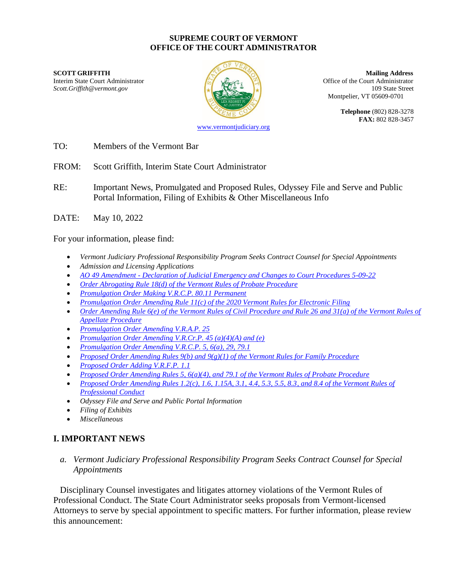#### **SUPREME COURT OF VERMONT OFFICE OF THE COURT ADMINISTRATOR**

Interim State Court Administrator **Interior Collection** Coffice of the Court Administrator *Scott.Griffith@vermont.gov* 109 State Street



**SCOTT GRIFFITH Mailing Address** Montpelier, VT 05609-0701

> **Telephone** (802) 828-3278 **FAX:** 802 828-3457

[www.vermontjudiciary.org](http://www.vermontjudiciary.org/)

TO: Members of the Vermont Bar

FROM: Scott Griffith, Interim State Court Administrator

- RE: Important News, Promulgated and Proposed Rules, Odyssey File and Serve and Public Portal Information, Filing of Exhibits & Other Miscellaneous Info
- DATE: May 10, 2022

For your information, please find:

- *Vermont Judiciary Professional Responsibility Program Seeks Contract Counsel for Special Appointments*
- *Admission and Licensing Applications*
- *AO 49 Amendment - [Declaration of Judicial Emergency and Changes to Court Procedures 5-09-22](https://www.vermontjudiciary.org/sites/default/files/documents/PROMULGATED%20AO%2049%20%20-%20Declaration%20of%20Judicial%20Emergency%20and%20Changes%20to%20Court%20Procedures%20-%205-9-22--STAMPED.pdf)*
- *[Order Abrogating Rule 18\(d\) of the Vermont Rules of Probate Procedure](https://www.vermontjudiciary.org/sites/default/files/documents/PROMULGATEDVRPP18%28d%29--abrogation--STAMPED.pdf)*
- *[Promulgation Order Making V.R.C.P. 80.11 Permanent](https://www.vermontjudiciary.org/sites/default/files/documents/PROMULGATEDMADEPERMANENT%20VRCP%2080.11--STAMPED_0.pdf)*
- *[Promulgation Order Amending Rule 11\(c\) of the 2020 Vermont Rules for Electronic Filing](https://www.vermontjudiciary.org/sites/default/files/documents/PROMULGATED2020%20VREF%2011%28c%29--STAMPED.pdf)*
- *[Order Amending Rule 6\(e\) of the Vermont Rules of Civil Procedure and Rule 26 and 31\(a\) of the Vermont Rules of](https://www.vermontjudiciary.org/sites/default/files/documents/PROMULGATEDVRCP6%28e%29%20VRAP26%20and%2031%28a%29--STAMPED.pdf)  [Appellate Procedure](https://www.vermontjudiciary.org/sites/default/files/documents/PROMULGATEDVRCP6%28e%29%20VRAP26%20and%2031%28a%29--STAMPED.pdf)*
- *[Promulgation Order Amending V.R.A.P. 25](https://www.vermontjudiciary.org/sites/default/files/documents/PROMULGATEDVRAP25--STAMPED.pdf)*
- *[Promulgation Order Amending V.R.Cr.P. 45 \(a\)\(4\)\(A\) and \(e\)](https://www.vermontjudiciary.org/sites/default/files/documents/PROMULGATEDVRCrP45%28a%29%284%29%28A%29and%28e%29--STAMPED.pdf)*
- *[Promulgation Order Amending V.R.C.P. 5, 6\(a\), 29, 79.1](https://www.vermontjudiciary.org/sites/default/files/documents/PROMULGATEDVRCP%205_6%28a%29%284%29_29_79.1--STAMPED_1.pdf)*
- *[Proposed Order Amending Rules 9\(b\) and 9\(g\)\(1\) of the Vermont Rules for Family Procedure](https://www.vermontjudiciary.org/sites/default/files/documents/PROPOSEDVRFP%209%28b%29_9%28g%29%281%29FOR%20COMMENT.pdf)*
- *[Proposed Order Adding V.R.F.P. 1.1](https://www.vermontjudiciary.org/sites/default/files/documents/PROPOSEDVRFP%201.1%20Youthful%20Offender%20ProcedureFOR%20COMMENT.pdf)*
- *[Proposed Order Amending Rules 5, 6\(a\)\(4\), and 79.1 of the Vermont Rules of Probate Procedure](https://www.vermontjudiciary.org/sites/default/files/documents/PROPOSEDVRPP%205%206%28a%29%284%29%20and%2079.1FOR%20COMMENT.pdf)*
- *[Proposed Order Amending Rules 1.2\(c\), 1.6, 1.15A, 3.1, 4.4, 5.3, 5.5, 8.3, and 8.4 of the Vermont Rules of](https://www.vermontjudiciary.org/sites/default/files/documents/PROPOSEDVRPrC1.2%201.6%201.15A%203.1%204.4%205.3%205.5%208.3%20and%208.4FOR%20COMMENT.pdf)  [Professional Conduct](https://www.vermontjudiciary.org/sites/default/files/documents/PROPOSEDVRPrC1.2%201.6%201.15A%203.1%204.4%205.3%205.5%208.3%20and%208.4FOR%20COMMENT.pdf)*
- *Odyssey File and Serve and Public Portal Information*
- *Filing of Exhibits*
- *Miscellaneous*

# **I. IMPORTANT NEWS**

*a. Vermont Judiciary Professional Responsibility Program Seeks Contract Counsel for Special Appointments*

Disciplinary Counsel investigates and litigates attorney violations of the Vermont Rules of Professional Conduct. The State Court Administrator seeks proposals from Vermont-licensed Attorneys to serve by special appointment to specific matters. For further information, please review this announcement: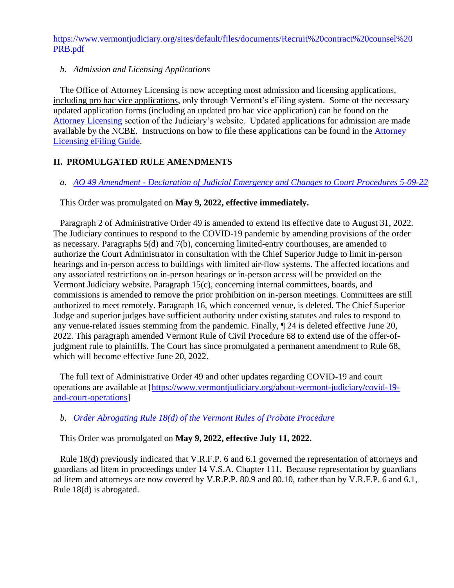[https://www.vermontjudiciary.org/sites/default/files/documents/Recruit%20contract%20counsel%20](https://www.vermontjudiciary.org/sites/default/files/documents/Recruit%20contract%20counsel%20PRB.pdf) [PRB.pdf](https://www.vermontjudiciary.org/sites/default/files/documents/Recruit%20contract%20counsel%20PRB.pdf)

#### *b. Admission and Licensing Applications*

The Office of Attorney Licensing is now accepting most admission and licensing applications, including pro hac vice applications, only through Vermont's eFiling system. Some of the necessary updated application forms (including an updated pro hac vice application) can be found on the [Attorney Licensing](https://www.vermontjudiciary.org/attorneys/attorney-licensing) section of the Judiciary's website. Updated applications for admission are made available by the NCBE. Instructions on how to file these applications can be found in the [Attorney](https://www.vermontjudiciary.org/sites/default/files/documents/AL%20OFS%20FILER%20GUIDE.pdf)  [Licensing eFiling Guide.](https://www.vermontjudiciary.org/sites/default/files/documents/AL%20OFS%20FILER%20GUIDE.pdf)

# **II. PROMULGATED RULE AMENDMENTS**

## *a. AO 49 Amendment - [Declaration of Judicial Emergency and Changes to Court Procedures 5-09-22](https://www.vermontjudiciary.org/sites/default/files/documents/PROMULGATED%20AO%2049%20%20-%20Declaration%20of%20Judicial%20Emergency%20and%20Changes%20to%20Court%20Procedures%20-%205-9-22--STAMPED.pdf)*

This Order was promulgated on **May 9, 2022, effective immediately.**

Paragraph 2 of Administrative Order 49 is amended to extend its effective date to August 31, 2022. The Judiciary continues to respond to the COVID-19 pandemic by amending provisions of the order as necessary. Paragraphs 5(d) and 7(b), concerning limited-entry courthouses, are amended to authorize the Court Administrator in consultation with the Chief Superior Judge to limit in-person hearings and in-person access to buildings with limited air-flow systems. The affected locations and any associated restrictions on in-person hearings or in-person access will be provided on the Vermont Judiciary website. Paragraph 15(c), concerning internal committees, boards, and commissions is amended to remove the prior prohibition on in-person meetings. Committees are still authorized to meet remotely. Paragraph 16, which concerned venue, is deleted. The Chief Superior Judge and superior judges have sufficient authority under existing statutes and rules to respond to any venue-related issues stemming from the pandemic. Finally, ¶ 24 is deleted effective June 20, 2022. This paragraph amended Vermont Rule of Civil Procedure 68 to extend use of the offer-ofjudgment rule to plaintiffs. The Court has since promulgated a permanent amendment to Rule 68, which will become effective June 20, 2022.

The full text of Administrative Order 49 and other updates regarding COVID-19 and court operations are available at [\[https://www.vermontjudiciary.org/about-vermont-judiciary/covid-19](https://www.vermontjudiciary.org/about-vermont-judiciary/covid-19-and-court-operations) [and-court-operations\]](https://www.vermontjudiciary.org/about-vermont-judiciary/covid-19-and-court-operations)

## *b. [Order Abrogating Rule 18\(d\) of the Vermont Rules of Probate Procedure](https://www.vermontjudiciary.org/sites/default/files/documents/PROMULGATEDVRPP18%28d%29--abrogation--STAMPED.pdf)*

This Order was promulgated on **May 9, 2022, effective July 11, 2022.**

Rule 18(d) previously indicated that V.R.F.P. 6 and 6.1 governed the representation of attorneys and guardians ad litem in proceedings under 14 V.S.A. Chapter 111. Because representation by guardians ad litem and attorneys are now covered by V.R.P.P. 80.9 and 80.10, rather than by V.R.F.P. 6 and 6.1, Rule 18(d) is abrogated.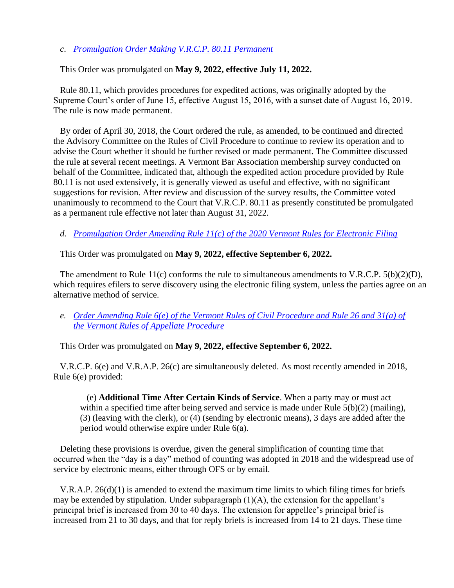*c*. *[Promulgation Order Making V.R.C.P. 80.11 Permanent](https://www.vermontjudiciary.org/sites/default/files/documents/PROMULGATEDMADEPERMANENT%20VRCP%2080.11--STAMPED_0.pdf)*

#### This Order was promulgated on **May 9, 2022, effective July 11, 2022.**

Rule 80.11, which provides procedures for expedited actions, was originally adopted by the Supreme Court's order of June 15, effective August 15, 2016, with a sunset date of August 16, 2019. The rule is now made permanent.

By order of April 30, 2018, the Court ordered the rule, as amended, to be continued and directed the Advisory Committee on the Rules of Civil Procedure to continue to review its operation and to advise the Court whether it should be further revised or made permanent. The Committee discussed the rule at several recent meetings. A Vermont Bar Association membership survey conducted on behalf of the Committee, indicated that, although the expedited action procedure provided by Rule 80.11 is not used extensively, it is generally viewed as useful and effective, with no significant suggestions for revision. After review and discussion of the survey results, the Committee voted unanimously to recommend to the Court that V.R.C.P. 80.11 as presently constituted be promulgated as a permanent rule effective not later than August 31, 2022.

*d. [Promulgation Order Amending Rule 11\(c\) of the 2020 Vermont Rules for Electronic Filing](https://www.vermontjudiciary.org/sites/default/files/documents/PROMULGATED2020%20VREF%2011%28c%29--STAMPED.pdf)*

This Order was promulgated on **May 9, 2022, effective September 6, 2022.**

The amendment to Rule 11(c) conforms the rule to simultaneous amendments to V.R.C.P.  $5(b)(2)(D)$ , which requires efflers to serve discovery using the electronic filing system, unless the parties agree on an alternative method of service.

*e. [Order Amending Rule 6\(e\) of the Vermont Rules of Civil Procedure and Rule 26 and 31\(a\) of](https://www.vermontjudiciary.org/sites/default/files/documents/PROMULGATEDVRCP6%28e%29%20VRAP26%20and%2031%28a%29--STAMPED.pdf)  [the Vermont Rules of Appellate Procedure](https://www.vermontjudiciary.org/sites/default/files/documents/PROMULGATEDVRCP6%28e%29%20VRAP26%20and%2031%28a%29--STAMPED.pdf)* 

This Order was promulgated on **May 9, 2022, effective September 6, 2022.**

V.R.C.P. 6(e) and V.R.A.P. 26(c) are simultaneously deleted. As most recently amended in 2018, Rule 6(e) provided:

(e) **Additional Time After Certain Kinds of Service**. When a party may or must act within a specified time after being served and service is made under Rule 5(b)(2) (mailing), (3) (leaving with the clerk), or (4) (sending by electronic means), 3 days are added after the period would otherwise expire under Rule 6(a).

Deleting these provisions is overdue, given the general simplification of counting time that occurred when the "day is a day" method of counting was adopted in 2018 and the widespread use of service by electronic means, either through OFS or by email.

V.R.A.P. 26(d)(1) is amended to extend the maximum time limits to which filing times for briefs may be extended by stipulation. Under subparagraph (1)(A), the extension for the appellant's principal brief is increased from 30 to 40 days. The extension for appellee's principal brief is increased from 21 to 30 days, and that for reply briefs is increased from 14 to 21 days. These time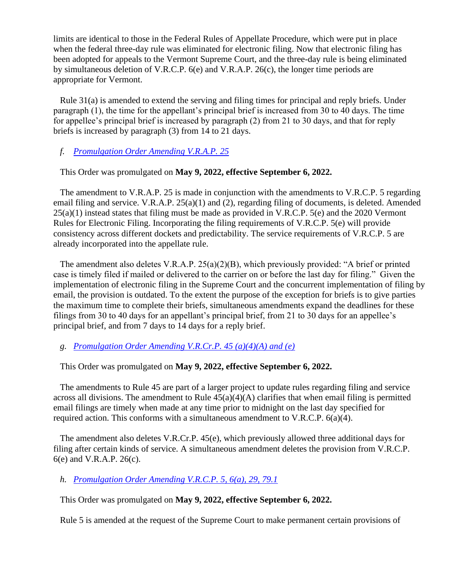limits are identical to those in the Federal Rules of Appellate Procedure, which were put in place when the federal three-day rule was eliminated for electronic filing. Now that electronic filing has been adopted for appeals to the Vermont Supreme Court, and the three-day rule is being eliminated by simultaneous deletion of V.R.C.P. 6(e) and V.R.A.P. 26(c), the longer time periods are appropriate for Vermont.

Rule 31(a) is amended to extend the serving and filing times for principal and reply briefs. Under paragraph (1), the time for the appellant's principal brief is increased from 30 to 40 days. The time for appellee's principal brief is increased by paragraph (2) from 21 to 30 days, and that for reply briefs is increased by paragraph (3) from 14 to 21 days.

## *f. [Promulgation Order Amending V.R.A.P. 25](https://www.vermontjudiciary.org/sites/default/files/documents/PROMULGATEDVRAP25--STAMPED.pdf)*

#### This Order was promulgated on **May 9, 2022, effective September 6, 2022.**

The amendment to V.R.A.P. 25 is made in conjunction with the amendments to V.R.C.P. 5 regarding email filing and service. V.R.A.P. 25(a)(1) and (2), regarding filing of documents, is deleted. Amended 25(a)(1) instead states that filing must be made as provided in V.R.C.P. 5(e) and the 2020 Vermont Rules for Electronic Filing. Incorporating the filing requirements of V.R.C.P. 5(e) will provide consistency across different dockets and predictability. The service requirements of V.R.C.P. 5 are already incorporated into the appellate rule.

The amendment also deletes V.R.A.P.  $25(a)(2)(B)$ , which previously provided: "A brief or printed case is timely filed if mailed or delivered to the carrier on or before the last day for filing." Given the implementation of electronic filing in the Supreme Court and the concurrent implementation of filing by email, the provision is outdated. To the extent the purpose of the exception for briefs is to give parties the maximum time to complete their briefs, simultaneous amendments expand the deadlines for these filings from 30 to 40 days for an appellant's principal brief, from 21 to 30 days for an appellee's principal brief, and from 7 days to 14 days for a reply brief.

*g. [Promulgation Order Amending V.R.Cr.P. 45 \(a\)\(4\)\(A\) and \(e\)](https://www.vermontjudiciary.org/sites/default/files/documents/PROMULGATEDVRCrP45%28a%29%284%29%28A%29and%28e%29--STAMPED.pdf)*

## This Order was promulgated on **May 9, 2022, effective September 6, 2022.**

The amendments to Rule 45 are part of a larger project to update rules regarding filing and service across all divisions. The amendment to Rule  $45(a)(4)(A)$  clarifies that when email filing is permitted email filings are timely when made at any time prior to midnight on the last day specified for required action. This conforms with a simultaneous amendment to V.R.C.P. 6(a)(4).

The amendment also deletes V.R.Cr.P. 45(e), which previously allowed three additional days for filing after certain kinds of service. A simultaneous amendment deletes the provision from V.R.C.P. 6(e) and V.R.A.P. 26(c).

## *h. [Promulgation Order Amending V.R.C.P. 5, 6\(a\), 29, 79.1](https://www.vermontjudiciary.org/sites/default/files/documents/PROMULGATEDVRCP%205_6%28a%29%284%29_29_79.1--STAMPED_1.pdf)*

This Order was promulgated on **May 9, 2022, effective September 6, 2022.**

Rule 5 is amended at the request of the Supreme Court to make permanent certain provisions of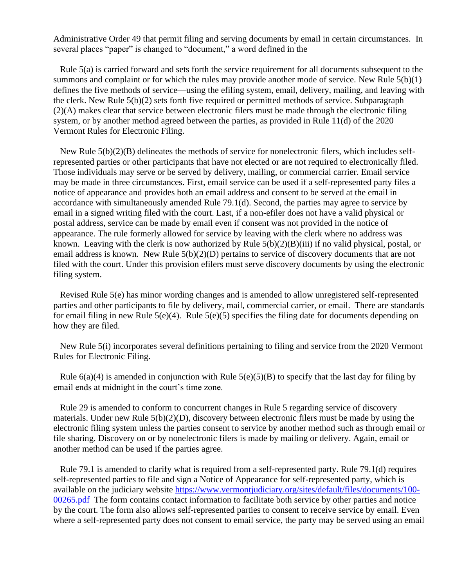Administrative Order 49 that permit filing and serving documents by email in certain circumstances. In several places "paper" is changed to "document," a word defined in the

Rule 5(a) is carried forward and sets forth the service requirement for all documents subsequent to the summons and complaint or for which the rules may provide another mode of service. New Rule 5(b)(1) defines the five methods of service—using the efiling system, email, delivery, mailing, and leaving with the clerk. New Rule 5(b)(2) sets forth five required or permitted methods of service. Subparagraph (2)(A) makes clear that service between electronic filers must be made through the electronic filing system, or by another method agreed between the parties, as provided in Rule 11(d) of the 2020 Vermont Rules for Electronic Filing.

New Rule 5(b)(2)(B) delineates the methods of service for nonelectronic filers, which includes selfrepresented parties or other participants that have not elected or are not required to electronically filed. Those individuals may serve or be served by delivery, mailing, or commercial carrier. Email service may be made in three circumstances. First, email service can be used if a self-represented party files a notice of appearance and provides both an email address and consent to be served at the email in accordance with simultaneously amended Rule 79.1(d). Second, the parties may agree to service by email in a signed writing filed with the court. Last, if a non-efiler does not have a valid physical or postal address, service can be made by email even if consent was not provided in the notice of appearance. The rule formerly allowed for service by leaving with the clerk where no address was known. Leaving with the clerk is now authorized by Rule 5(b)(2)(B)(iii) if no valid physical, postal, or email address is known. New Rule 5(b)(2)(D) pertains to service of discovery documents that are not filed with the court. Under this provision efilers must serve discovery documents by using the electronic filing system.

Revised Rule 5(e) has minor wording changes and is amended to allow unregistered self-represented parties and other participants to file by delivery, mail, commercial carrier, or email. There are standards for email filing in new Rule 5(e)(4). Rule 5(e)(5) specifies the filing date for documents depending on how they are filed.

New Rule 5(i) incorporates several definitions pertaining to filing and service from the 2020 Vermont Rules for Electronic Filing.

Rule  $6(a)(4)$  is amended in conjunction with Rule  $5(e)(5)(B)$  to specify that the last day for filing by email ends at midnight in the court's time zone.

Rule 29 is amended to conform to concurrent changes in Rule 5 regarding service of discovery materials. Under new Rule 5(b)(2)(D), discovery between electronic filers must be made by using the electronic filing system unless the parties consent to service by another method such as through email or file sharing. Discovery on or by nonelectronic filers is made by mailing or delivery. Again, email or another method can be used if the parties agree.

Rule 79.1 is amended to clarify what is required from a self-represented party. Rule 79.1(d) requires self-represented parties to file and sign a Notice of Appearance for self-represented party, which is available on the judiciary website [https://www.vermontjudiciary.org/sites/default/files/documents/100-](https://www.vermontjudiciary.org/sites/default/files/documents/100-00265.pdf) [00265.pdf](https://www.vermontjudiciary.org/sites/default/files/documents/100-00265.pdf) The form contains contact information to facilitate both service by other parties and notice by the court. The form also allows self-represented parties to consent to receive service by email. Even where a self-represented party does not consent to email service, the party may be served using an email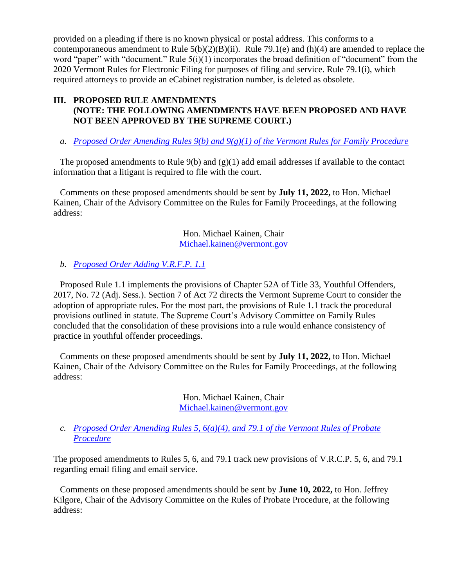provided on a pleading if there is no known physical or postal address. This conforms to a contemporaneous amendment to Rule  $5(b)(2)(B)(ii)$ . Rule 79.1(e) and (h)(4) are amended to replace the word "paper" with "document." Rule 5(i)(1) incorporates the broad definition of "document" from the 2020 Vermont Rules for Electronic Filing for purposes of filing and service. Rule 79.1(i), which required attorneys to provide an eCabinet registration number, is deleted as obsolete.

# **III. PROPOSED RULE AMENDMENTS (NOTE: THE FOLLOWING AMENDMENTS HAVE BEEN PROPOSED AND HAVE NOT BEEN APPROVED BY THE SUPREME COURT.)**

*a. [Proposed Order Amending Rules 9\(b\) and 9\(g\)\(1\) of the Vermont Rules for Family Procedure](https://www.vermontjudiciary.org/sites/default/files/documents/PROPOSEDVRFP%209%28b%29_9%28g%29%281%29FOR%20COMMENT.pdf)*

The proposed amendments to Rule  $9(b)$  and  $(g)(1)$  add email addresses if available to the contact information that a litigant is required to file with the court.

Comments on these proposed amendments should be sent by **July 11, 2022,** to Hon. Michael Kainen, Chair of the Advisory Committee on the Rules for Family Proceedings, at the following address:

> Hon. Michael Kainen, Chair [Michael.kainen@vermont.gov](mailto:Michael.kainen@vermont.gov)

## *b. [Proposed Order Adding V.R.F.P. 1.1](https://www.vermontjudiciary.org/sites/default/files/documents/PROPOSEDVRFP%201.1%20Youthful%20Offender%20ProcedureFOR%20COMMENT.pdf)*

Proposed Rule 1.1 implements the provisions of Chapter 52A of Title 33, Youthful Offenders, 2017, No. 72 (Adj. Sess.). Section 7 of Act 72 directs the Vermont Supreme Court to consider the adoption of appropriate rules. For the most part, the provisions of Rule 1.1 track the procedural provisions outlined in statute. The Supreme Court's Advisory Committee on Family Rules concluded that the consolidation of these provisions into a rule would enhance consistency of practice in youthful offender proceedings.

Comments on these proposed amendments should be sent by **July 11, 2022,** to Hon. Michael Kainen, Chair of the Advisory Committee on the Rules for Family Proceedings, at the following address:

> Hon. Michael Kainen, Chair [Michael.kainen@vermont.gov](mailto:Michael.kainen@vermont.gov)

*c. [Proposed Order Amending Rules 5, 6\(a\)\(4\), and 79.1 of the Vermont Rules of Probate](https://www.vermontjudiciary.org/sites/default/files/documents/PROPOSEDVRPP%205%206%28a%29%284%29%20and%2079.1FOR%20COMMENT.pdf)  [Procedure](https://www.vermontjudiciary.org/sites/default/files/documents/PROPOSEDVRPP%205%206%28a%29%284%29%20and%2079.1FOR%20COMMENT.pdf)*

The proposed amendments to Rules 5, 6, and 79.1 track new provisions of V.R.C.P. 5, 6, and 79.1 regarding email filing and email service.

Comments on these proposed amendments should be sent by **June 10, 2022,** to Hon. Jeffrey Kilgore, Chair of the Advisory Committee on the Rules of Probate Procedure, at the following address: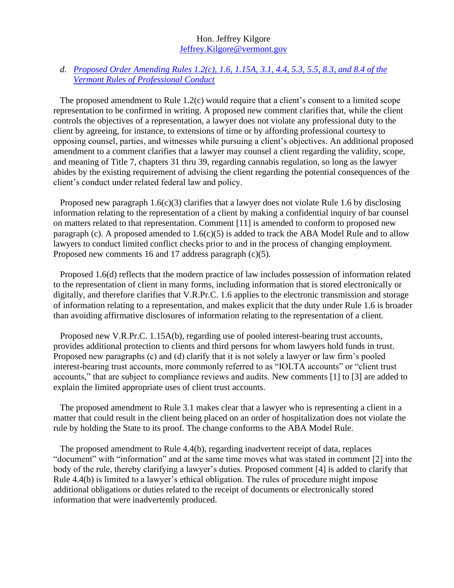#### Hon. Jeffrey Kilgore [Jeffrey.Kilgore@vermont.gov](mailto:Jeffrey.Kilgore@vermont.gov)

## *d. [Proposed Order Amending Rules 1.2\(c\), 1.6, 1.15A, 3.1, 4.4, 5.3, 5.5, 8.3, and 8.4 of the](https://www.vermontjudiciary.org/sites/default/files/documents/PROPOSEDVRPrC1.2%201.6%201.15A%203.1%204.4%205.3%205.5%208.3%20and%208.4FOR%20COMMENT.pdf)  [Vermont Rules of Professional Conduct](https://www.vermontjudiciary.org/sites/default/files/documents/PROPOSEDVRPrC1.2%201.6%201.15A%203.1%204.4%205.3%205.5%208.3%20and%208.4FOR%20COMMENT.pdf)*

The proposed amendment to Rule 1.2(c) would require that a client's consent to a limited scope representation to be confirmed in writing. A proposed new comment clarifies that, while the client controls the objectives of a representation, a lawyer does not violate any professional duty to the client by agreeing, for instance, to extensions of time or by affording professional courtesy to opposing counsel, parties, and witnesses while pursuing a client's objectives. An additional proposed amendment to a comment clarifies that a lawyer may counsel a client regarding the validity, scope, and meaning of Title 7, chapters 31 thru 39, regarding cannabis regulation, so long as the lawyer abides by the existing requirement of advising the client regarding the potential consequences of the client's conduct under related federal law and policy.

Proposed new paragraph 1.6(c)(3) clarifies that a lawyer does not violate Rule 1.6 by disclosing information relating to the representation of a client by making a confidential inquiry of bar counsel on matters related to that representation. Comment [11] is amended to conform to proposed new paragraph (c). A proposed amended to  $1.6(c)(5)$  is added to track the ABA Model Rule and to allow lawyers to conduct limited conflict checks prior to and in the process of changing employment. Proposed new comments 16 and 17 address paragraph (c)(5).

Proposed 1.6(d) reflects that the modern practice of law includes possession of information related to the representation of client in many forms, including information that is stored electronically or digitally, and therefore clarifies that V.R.Pr.C. 1.6 applies to the electronic transmission and storage of information relating to a representation, and makes explicit that the duty under Rule 1.6 is broader than avoiding affirmative disclosures of information relating to the representation of a client.

Proposed new V.R.Pr.C. 1.15A(b), regarding use of pooled interest-bearing trust accounts, provides additional protection to clients and third persons for whom lawyers hold funds in trust. Proposed new paragraphs (c) and (d) clarify that it is not solely a lawyer or law firm's pooled interest-bearing trust accounts, more commonly referred to as "IOLTA accounts" or "client trust accounts," that are subject to compliance reviews and audits. New comments [1] to [3] are added to explain the limited appropriate uses of client trust accounts.

The proposed amendment to Rule 3.1 makes clear that a lawyer who is representing a client in a matter that could result in the client being placed on an order of hospitalization does not violate the rule by holding the State to its proof. The change conforms to the ABA Model Rule.

The proposed amendment to Rule 4.4(b), regarding inadvertent receipt of data, replaces "document" with "information" and at the same time moves what was stated in comment [2] into the body of the rule, thereby clarifying a lawyer's duties. Proposed comment [4] is added to clarify that Rule 4.4(b) is limited to a lawyer's ethical obligation. The rules of procedure might impose additional obligations or duties related to the receipt of documents or electronically stored information that were inadvertently produced.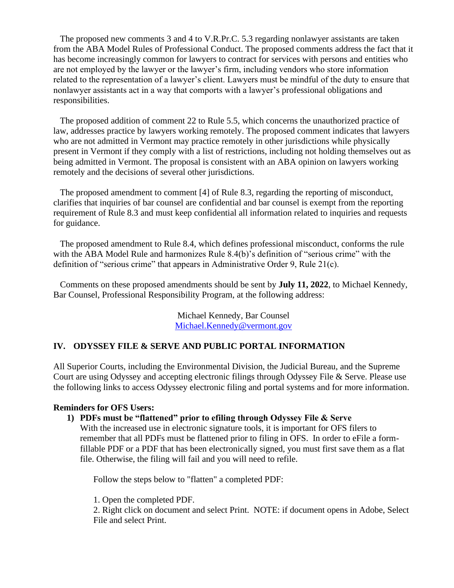The proposed new comments 3 and 4 to V.R.Pr.C. 5.3 regarding nonlawyer assistants are taken from the ABA Model Rules of Professional Conduct. The proposed comments address the fact that it has become increasingly common for lawyers to contract for services with persons and entities who are not employed by the lawyer or the lawyer's firm, including vendors who store information related to the representation of a lawyer's client. Lawyers must be mindful of the duty to ensure that nonlawyer assistants act in a way that comports with a lawyer's professional obligations and responsibilities.

The proposed addition of comment 22 to Rule 5.5, which concerns the unauthorized practice of law, addresses practice by lawyers working remotely. The proposed comment indicates that lawyers who are not admitted in Vermont may practice remotely in other jurisdictions while physically present in Vermont if they comply with a list of restrictions, including not holding themselves out as being admitted in Vermont. The proposal is consistent with an ABA opinion on lawyers working remotely and the decisions of several other jurisdictions.

The proposed amendment to comment [4] of Rule 8.3, regarding the reporting of misconduct, clarifies that inquiries of bar counsel are confidential and bar counsel is exempt from the reporting requirement of Rule 8.3 and must keep confidential all information related to inquiries and requests for guidance.

The proposed amendment to Rule 8.4, which defines professional misconduct, conforms the rule with the ABA Model Rule and harmonizes Rule 8.4(b)'s definition of "serious crime" with the definition of "serious crime" that appears in Administrative Order 9, Rule 21(c).

Comments on these proposed amendments should be sent by **July 11, 2022**, to Michael Kennedy, Bar Counsel, Professional Responsibility Program, at the following address:

> Michael Kennedy, Bar Counsel [Michael.Kennedy@vermont.gov](mailto:Michael.Kennedy@vermont.gov)

## **IV. ODYSSEY FILE & SERVE AND PUBLIC PORTAL INFORMATION**

All Superior Courts, including the Environmental Division, the Judicial Bureau, and the Supreme Court are using Odyssey and accepting electronic filings through Odyssey File & Serve. Please use the following links to access Odyssey electronic filing and portal systems and for more information.

#### **Reminders for OFS Users:**

#### **1) PDFs must be "flattened" prior to efiling through Odyssey File & Serve**

With the increased use in electronic signature tools, it is important for OFS filers to remember that all PDFs must be flattened prior to filing in OFS. In order to eFile a formfillable PDF or a PDF that has been electronically signed, you must first save them as a flat file. Otherwise, the filing will fail and you will need to refile.

Follow the steps below to "flatten" a completed PDF:

1. Open the completed PDF.

2. Right click on document and select Print. NOTE: if document opens in Adobe, Select File and select Print.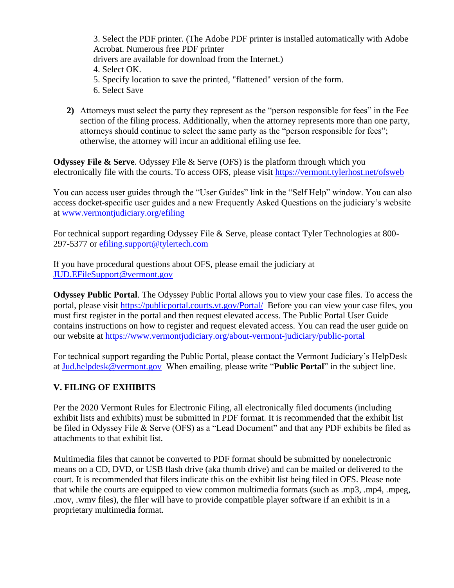3. Select the PDF printer. (The Adobe PDF printer is installed automatically with Adobe Acrobat. Numerous free PDF printer drivers are available for download from the Internet.) 4. Select OK. 5. Specify location to save the printed, "flattened" version of the form. 6. Select Save

**2)** Attorneys must select the party they represent as the "person responsible for fees" in the Fee section of the filing process. Additionally, when the attorney represents more than one party, attorneys should continue to select the same party as the "person responsible for fees"; otherwise, the attorney will incur an additional efiling use fee.

**Odyssey File & Serve.** Odyssey File & Serve (OFS) is the platform through which you electronically file with the courts. To access OFS, please visit<https://vermont.tylerhost.net/ofsweb>

You can access user guides through the "User Guides" link in the "Self Help" window. You can also access docket-specific user guides and a new Frequently Asked Questions on the judiciary's website at [www.vermontjudiciary.org/efiling](https://www.vermontjudiciary.org/about-vermont-judiciary/electronic-access/electronic-filing)

For technical support regarding Odyssey File & Serve, please contact Tyler Technologies at 800- 297-5377 or [efiling.support@tylertech.com](mailto:efiling.support@tylertech.com)

If you have procedural questions about OFS, please email the judiciary at [JUD.EFileSupport@vermont.gov](mailto:JUD.EFileSupport@vermont.gov)

**Odyssey Public Portal**. The Odyssey Public Portal allows you to view your case files. To access the portal, please visit<https://publicportal.courts.vt.gov/Portal/> Before you can view your case files, you must first register in the portal and then request elevated access. The Public Portal User Guide contains instructions on how to register and request elevated access. You can read the user guide on our website at<https://www.vermontjudiciary.org/about-vermont-judiciary/public-portal>

For technical support regarding the Public Portal, please contact the Vermont Judiciary's HelpDesk at [Jud.helpdesk@vermont.gov](mailto:Jud.helpdesk@vermont.gov) When emailing, please write "**Public Portal**" in the subject line.

# **V. FILING OF EXHIBITS**

Per the 2020 Vermont Rules for Electronic Filing, all electronically filed documents (including exhibit lists and exhibits) must be submitted in PDF format. It is recommended that the exhibit list be filed in Odyssey File & Serve (OFS) as a "Lead Document" and that any PDF exhibits be filed as attachments to that exhibit list.

Multimedia files that cannot be converted to PDF format should be submitted by nonelectronic means on a CD, DVD, or USB flash drive (aka thumb drive) and can be mailed or delivered to the court. It is recommended that filers indicate this on the exhibit list being filed in OFS. Please note that while the courts are equipped to view common multimedia formats (such as .mp3, .mp4, .mpeg, .mov, .wmv files), the filer will have to provide compatible player software if an exhibit is in a proprietary multimedia format.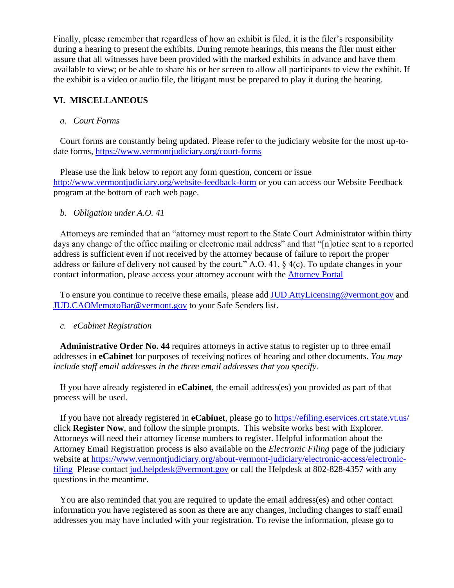Finally, please remember that regardless of how an exhibit is filed, it is the filer's responsibility during a hearing to present the exhibits. During remote hearings, this means the filer must either assure that all witnesses have been provided with the marked exhibits in advance and have them available to view; or be able to share his or her screen to allow all participants to view the exhibit. If the exhibit is a video or audio file, the litigant must be prepared to play it during the hearing.

# **VI. MISCELLANEOUS**

#### *a. Court Forms*

Court forms are constantly being updated. Please refer to the judiciary website for the most up-todate forms,<https://www.vermontjudiciary.org/court-forms>

Please use the link below to report any form question, concern or issue <http://www.vermontjudiciary.org/website-feedback-form> or you can access our Website Feedback program at the bottom of each web page.

#### *b. Obligation under A.O. 41*

Attorneys are reminded that an "attorney must report to the State Court Administrator within thirty days any change of the office mailing or electronic mail address" and that "[n]otice sent to a reported address is sufficient even if not received by the attorney because of failure to report the proper address or failure of delivery not caused by the court." A.O. 41, § 4(c). To update changes in your contact information, please access your attorney account with the [Attorney Portal](https://vermont.tylerhost.net/TylerFamis/ui/dashboard)

To ensure you continue to receive these emails, please add [JUD.AttyLicensing@vermont.gov](mailto:JUD.AttyLicensing@vermont.gov) and [JUD.CAOMemotoBar@vermont.gov](mailto:JUD.CAOMemotoBar@vermont.gov) to your Safe Senders list.

#### *c. eCabinet Registration*

**Administrative Order No. 44** requires attorneys in active status to register up to three email addresses in **eCabinet** for purposes of receiving notices of hearing and other documents. *You may include staff email addresses in the three email addresses that you specify.* 

If you have already registered in **eCabinet**, the email address(es) you provided as part of that process will be used.

If you have not already registered in **eCabinet**, please go to<https://efiling.eservices.crt.state.vt.us/> click **Register Now**, and follow the simple prompts. This website works best with Explorer. Attorneys will need their attorney license numbers to register. Helpful information about the Attorney Email Registration process is also available on the *Electronic Filing* page of the judiciary website at [https://www.vermontjudiciary.org/about-vermont-judiciary/electronic-access/electronic](https://www.vermontjudiciary.org/about-vermont-judiciary/electronic-access/electronic-filing)[filing](https://www.vermontjudiciary.org/about-vermont-judiciary/electronic-access/electronic-filing) Please contact [jud.helpdesk@vermont.gov](mailto:jud.helpdesk@vermont.gov) or call the Helpdesk at 802-828-4357 with any questions in the meantime.

You are also reminded that you are required to update the email address(es) and other contact information you have registered as soon as there are any changes, including changes to staff email addresses you may have included with your registration. To revise the information, please go to